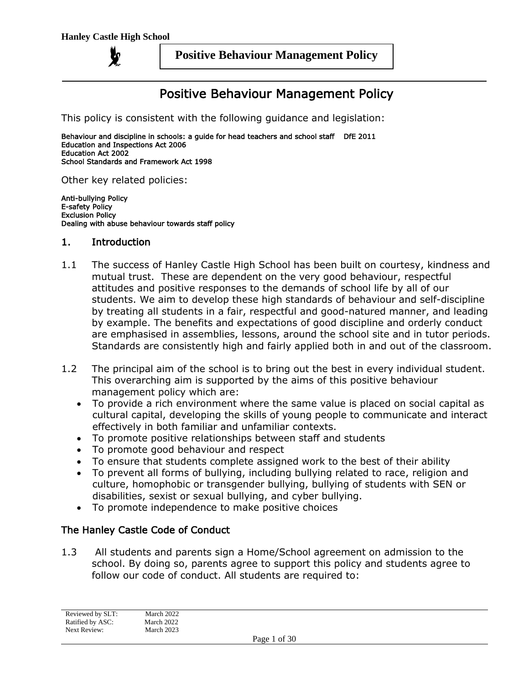**y** 

#### **Positive Behaviour Management Policy**

# Positive Behaviour Management Policy

This policy is consistent with the following guidance and legislation:

Behaviour and discipline in schools: a guide for head teachers and school staff DfE 2011 Education and Inspections Act 2006 Education Act 2002 School Standards and Framework Act 1998

Other key related policies:

Anti-bullying Policy E-safety Policy Exclusion Policy Dealing with abuse behaviour towards staff policy

#### 1. Introduction

- 1.1 The success of Hanley Castle High School has been built on courtesy, kindness and mutual trust. These are dependent on the very good behaviour, respectful attitudes and positive responses to the demands of school life by all of our students. We aim to develop these high standards of behaviour and self-discipline by treating all students in a fair, respectful and good-natured manner, and leading by example. The benefits and expectations of good discipline and orderly conduct are emphasised in assemblies, lessons, around the school site and in tutor periods. Standards are consistently high and fairly applied both in and out of the classroom.
- 1.2 The principal aim of the school is to bring out the best in every individual student. This overarching aim is supported by the aims of this positive behaviour management policy which are:
	- To provide a rich environment where the same value is placed on social capital as cultural capital, developing the skills of young people to communicate and interact effectively in both familiar and unfamiliar contexts.
	- To promote positive relationships between staff and students
	- To promote good behaviour and respect
	- To ensure that students complete assigned work to the best of their ability
	- To prevent all forms of bullying, including bullying related to race, religion and culture, homophobic or transgender bullying, bullying of students with SEN or disabilities, sexist or sexual bullying, and cyber bullying.
	- To promote independence to make positive choices

#### The Hanley Castle Code of Conduct

1.3 All students and parents sign a Home/School agreement on admission to the school. By doing so, parents agree to support this policy and students agree to follow our code of conduct. All students are required to: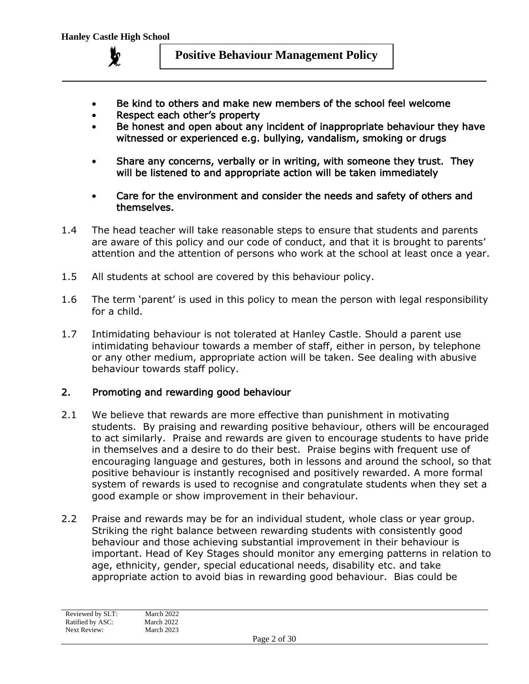

- Be kind to others and make new members of the school feel welcome
- Respect each other's property
- Be honest and open about any incident of inappropriate behaviour they have witnessed or experienced e.g. bullying, vandalism, smoking or drugs
- Share any concerns, verbally or in writing, with someone they trust. They will be listened to and appropriate action will be taken immediately
- Care for the environment and consider the needs and safety of others and themselves.
- 1.4 The head teacher will take reasonable steps to ensure that students and parents are aware of this policy and our code of conduct, and that it is brought to parents' attention and the attention of persons who work at the school at least once a year.
- 1.5 All students at school are covered by this behaviour policy.
- 1.6 The term 'parent' is used in this policy to mean the person with legal responsibility for a child.
- 1.7 Intimidating behaviour is not tolerated at Hanley Castle. Should a parent use intimidating behaviour towards a member of staff, either in person, by telephone or any other medium, appropriate action will be taken. See dealing with abusive behaviour towards staff policy.

#### 2. Promoting and rewarding good behaviour

- 2.1 We believe that rewards are more effective than punishment in motivating students. By praising and rewarding positive behaviour, others will be encouraged to act similarly. Praise and rewards are given to encourage students to have pride in themselves and a desire to do their best. Praise begins with frequent use of encouraging language and gestures, both in lessons and around the school, so that positive behaviour is instantly recognised and positively rewarded. A more formal system of rewards is used to recognise and congratulate students when they set a good example or show improvement in their behaviour.
- 2.2 Praise and rewards may be for an individual student, whole class or year group. Striking the right balance between rewarding students with consistently good behaviour and those achieving substantial improvement in their behaviour is important. Head of Key Stages should monitor any emerging patterns in relation to age, ethnicity, gender, special educational needs, disability etc. and take appropriate action to avoid bias in rewarding good behaviour. Bias could be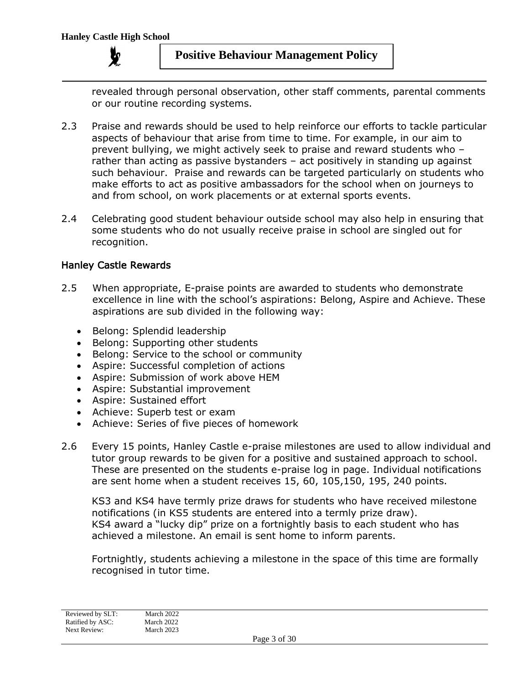revealed through personal observation, other staff comments, parental comments or our routine recording systems.

- 2.3 Praise and rewards should be used to help reinforce our efforts to tackle particular aspects of behaviour that arise from time to time. For example, in our aim to prevent bullying, we might actively seek to praise and reward students who – rather than acting as passive bystanders – act positively in standing up against such behaviour. Praise and rewards can be targeted particularly on students who make efforts to act as positive ambassadors for the school when on journeys to and from school, on work placements or at external sports events.
- 2.4 Celebrating good student behaviour outside school may also help in ensuring that some students who do not usually receive praise in school are singled out for recognition.

## Hanley Castle Rewards

- 2.5 When appropriate, E-praise points are awarded to students who demonstrate excellence in line with the school's aspirations: Belong, Aspire and Achieve. These aspirations are sub divided in the following way:
	- Belong: Splendid leadership
	- Belong: Supporting other students
	- Belong: Service to the school or community
	- Aspire: Successful completion of actions
	- Aspire: Submission of work above HEM
	- Aspire: Substantial improvement
	- Aspire: Sustained effort
	- Achieve: Superb test or exam
	- Achieve: Series of five pieces of homework
- 2.6 Every 15 points, Hanley Castle e-praise milestones are used to allow individual and tutor group rewards to be given for a positive and sustained approach to school. These are presented on the students e-praise log in page. Individual notifications are sent home when a student receives 15, 60, 105,150, 195, 240 points.

KS3 and KS4 have termly prize draws for students who have received milestone notifications (in KS5 students are entered into a termly prize draw). KS4 award a "lucky dip" prize on a fortnightly basis to each student who has achieved a milestone. An email is sent home to inform parents.

Fortnightly, students achieving a milestone in the space of this time are formally recognised in tutor time.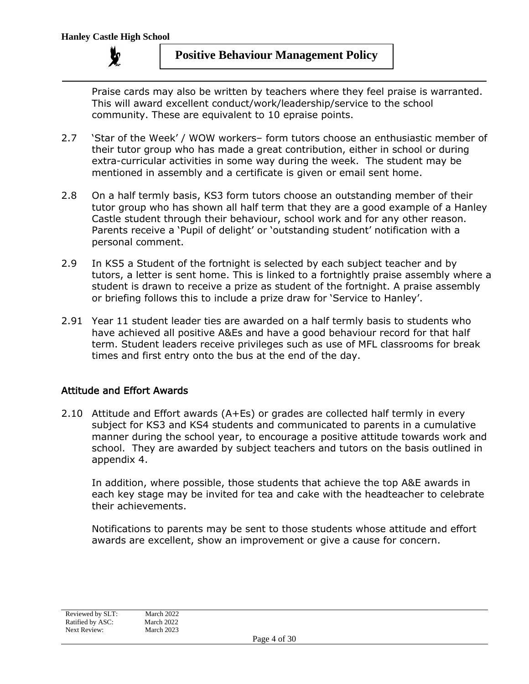Praise cards may also be written by teachers where they feel praise is warranted. This will award excellent conduct/work/leadership/service to the school community. These are equivalent to 10 epraise points.

- 2.7 'Star of the Week' / WOW workers– form tutors choose an enthusiastic member of their tutor group who has made a great contribution, either in school or during extra-curricular activities in some way during the week. The student may be mentioned in assembly and a certificate is given or email sent home.
- 2.8 On a half termly basis, KS3 form tutors choose an outstanding member of their tutor group who has shown all half term that they are a good example of a Hanley Castle student through their behaviour, school work and for any other reason. Parents receive a 'Pupil of delight' or 'outstanding student' notification with a personal comment.
- 2.9 In KS5 a Student of the fortnight is selected by each subject teacher and by tutors, a letter is sent home. This is linked to a fortnightly praise assembly where a student is drawn to receive a prize as student of the fortnight. A praise assembly or briefing follows this to include a prize draw for 'Service to Hanley'.
- 2.91 Year 11 student leader ties are awarded on a half termly basis to students who have achieved all positive A&Es and have a good behaviour record for that half term. Student leaders receive privileges such as use of MFL classrooms for break times and first entry onto the bus at the end of the day.

# Attitude and Effort Awards

2.10 Attitude and Effort awards (A+Es) or grades are collected half termly in every subject for KS3 and KS4 students and communicated to parents in a cumulative manner during the school year, to encourage a positive attitude towards work and school. They are awarded by subject teachers and tutors on the basis outlined in appendix 4.

In addition, where possible, those students that achieve the top A&E awards in each key stage may be invited for tea and cake with the headteacher to celebrate their achievements.

Notifications to parents may be sent to those students whose attitude and effort awards are excellent, show an improvement or give a cause for concern.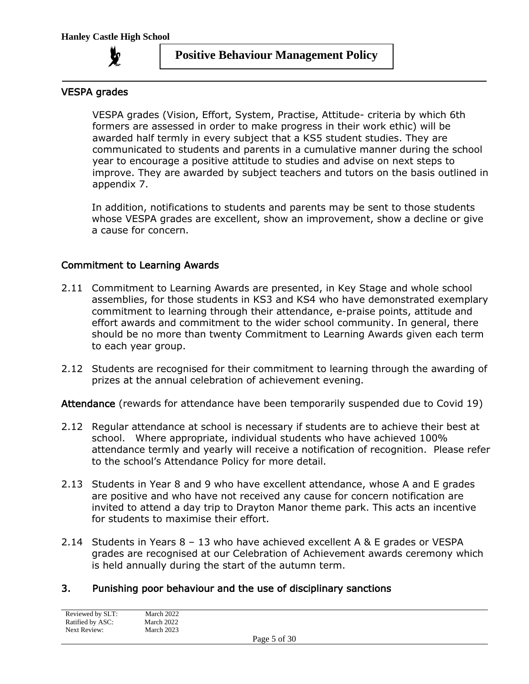

### VESPA grades

VESPA grades (Vision, Effort, System, Practise, Attitude- criteria by which 6th formers are assessed in order to make progress in their work ethic) will be awarded half termly in every subject that a KS5 student studies. They are communicated to students and parents in a cumulative manner during the school year to encourage a positive attitude to studies and advise on next steps to improve. They are awarded by subject teachers and tutors on the basis outlined in appendix 7.

In addition, notifications to students and parents may be sent to those students whose VESPA grades are excellent, show an improvement, show a decline or give a cause for concern.

#### Commitment to Learning Awards

- 2.11 Commitment to Learning Awards are presented, in Key Stage and whole school assemblies, for those students in KS3 and KS4 who have demonstrated exemplary commitment to learning through their attendance, e-praise points, attitude and effort awards and commitment to the wider school community. In general, there should be no more than twenty Commitment to Learning Awards given each term to each year group.
- 2.12 Students are recognised for their commitment to learning through the awarding of prizes at the annual celebration of achievement evening.

Attendance (rewards for attendance have been temporarily suspended due to Covid 19)

- 2.12 Regular attendance at school is necessary if students are to achieve their best at school. Where appropriate, individual students who have achieved 100% attendance termly and yearly will receive a notification of recognition. Please refer to the school's Attendance Policy for more detail.
- 2.13 Students in Year 8 and 9 who have excellent attendance, whose A and E grades are positive and who have not received any cause for concern notification are invited to attend a day trip to Drayton Manor theme park. This acts an incentive for students to maximise their effort.
- 2.14 Students in Years 8 13 who have achieved excellent A & E grades or VESPA grades are recognised at our Celebration of Achievement awards ceremony which is held annually during the start of the autumn term.

#### 3. Punishing poor behaviour and the use of disciplinary sanctions

| Reviewed by SLT: | March 2022 |              |  |
|------------------|------------|--------------|--|
| Ratified by ASC: | March 2022 |              |  |
| Next Review:     | March 2023 |              |  |
|                  |            | Page 5 of 30 |  |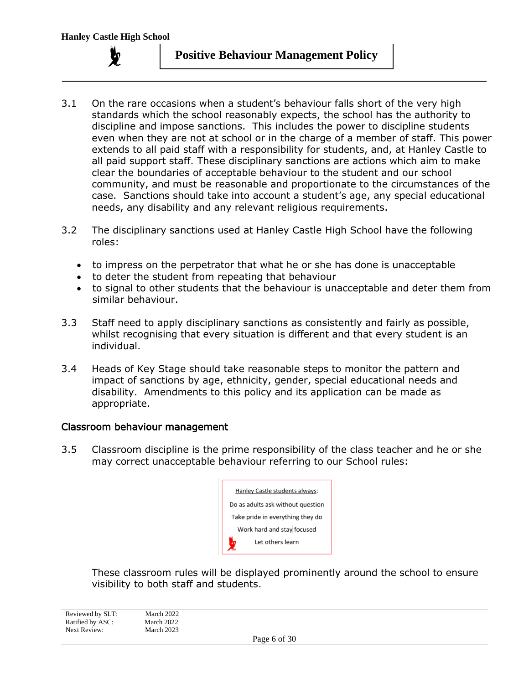

- 3.1 On the rare occasions when a student's behaviour falls short of the very high standards which the school reasonably expects, the school has the authority to discipline and impose sanctions. This includes the power to discipline students even when they are not at school or in the charge of a member of staff. This power extends to all paid staff with a responsibility for students, and, at Hanley Castle to all paid support staff. These disciplinary sanctions are actions which aim to make clear the boundaries of acceptable behaviour to the student and our school community, and must be reasonable and proportionate to the circumstances of the case. Sanctions should take into account a student's age, any special educational needs, any disability and any relevant religious requirements.
- 3.2 The disciplinary sanctions used at Hanley Castle High School have the following roles:
	- to impress on the perpetrator that what he or she has done is unacceptable
	- to deter the student from repeating that behaviour
	- to signal to other students that the behaviour is unacceptable and deter them from similar behaviour.
- 3.3 Staff need to apply disciplinary sanctions as consistently and fairly as possible, whilst recognising that every situation is different and that every student is an individual.
- 3.4 Heads of Key Stage should take reasonable steps to monitor the pattern and impact of sanctions by age, ethnicity, gender, special educational needs and disability. Amendments to this policy and its application can be made as appropriate.

#### Classroom behaviour management

3.5 Classroom discipline is the prime responsibility of the class teacher and he or she may correct unacceptable behaviour referring to our School rules:

| Hanley Castle students always:    |  |  |
|-----------------------------------|--|--|
| Do as adults ask without question |  |  |
| Take pride in everything they do  |  |  |
| Work hard and stay focused        |  |  |
| Let others learn<br>y             |  |  |

These classroom rules will be displayed prominently around the school to ensure visibility to both staff and students.

Reviewed by SLT: March 2022 Ratified by ASC: March 2022 Next Review: March 2023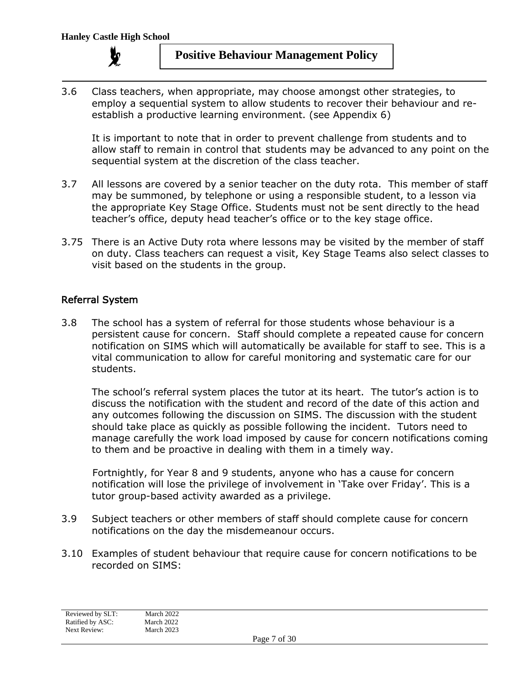

3.6 Class teachers, when appropriate, may choose amongst other strategies, to employ a sequential system to allow students to recover their behaviour and reestablish a productive learning environment. (see Appendix 6)

It is important to note that in order to prevent challenge from students and to allow staff to remain in control that students may be advanced to any point on the sequential system at the discretion of the class teacher.

- 3.7 All lessons are covered by a senior teacher on the duty rota. This member of staff may be summoned, by telephone or using a responsible student, to a lesson via the appropriate Key Stage Office. Students must not be sent directly to the head teacher's office, deputy head teacher's office or to the key stage office.
- 3.75 There is an Active Duty rota where lessons may be visited by the member of staff on duty. Class teachers can request a visit, Key Stage Teams also select classes to visit based on the students in the group.

#### Referral System

3.8 The school has a system of referral for those students whose behaviour is a persistent cause for concern. Staff should complete a repeated cause for concern notification on SIMS which will automatically be available for staff to see. This is a vital communication to allow for careful monitoring and systematic care for our students.

The school's referral system places the tutor at its heart. The tutor's action is to discuss the notification with the student and record of the date of this action and any outcomes following the discussion on SIMS. The discussion with the student should take place as quickly as possible following the incident. Tutors need to manage carefully the work load imposed by cause for concern notifications coming to them and be proactive in dealing with them in a timely way.

Fortnightly, for Year 8 and 9 students, anyone who has a cause for concern notification will lose the privilege of involvement in 'Take over Friday'. This is a tutor group-based activity awarded as a privilege.

- 3.9 Subject teachers or other members of staff should complete cause for concern notifications on the day the misdemeanour occurs.
- 3.10 Examples of student behaviour that require cause for concern notifications to be recorded on SIMS: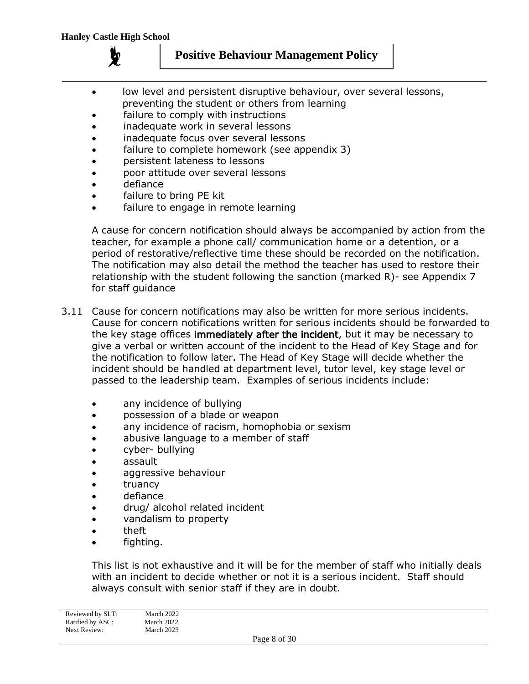

- low level and persistent disruptive behaviour, over several lessons, preventing the student or others from learning
- failure to comply with instructions
- inadequate work in several lessons
- inadequate focus over several lessons
- failure to complete homework (see appendix 3)
- persistent lateness to lessons
- poor attitude over several lessons
- defiance
- failure to bring PE kit
- failure to engage in remote learning

A cause for concern notification should always be accompanied by action from the teacher, for example a phone call/ communication home or a detention, or a period of restorative/reflective time these should be recorded on the notification. The notification may also detail the method the teacher has used to restore their relationship with the student following the sanction (marked R)- see Appendix 7 for staff guidance

- 3.11 Cause for concern notifications may also be written for more serious incidents. Cause for concern notifications written for serious incidents should be forwarded to the key stage offices immediately after the incident, but it may be necessary to give a verbal or written account of the incident to the Head of Key Stage and for the notification to follow later. The Head of Key Stage will decide whether the incident should be handled at department level, tutor level, key stage level or passed to the leadership team. Examples of serious incidents include:
	- any incidence of bullying
	- possession of a blade or weapon
	- any incidence of racism, homophobia or sexism
	- abusive language to a member of staff
	- cyber- bullying
	- assault
	- aggressive behaviour
	- truancy
	- defiance
	- drug/ alcohol related incident
	- vandalism to property
	- theft
	- fighting.

This list is not exhaustive and it will be for the member of staff who initially deals with an incident to decide whether or not it is a serious incident. Staff should always consult with senior staff if they are in doubt.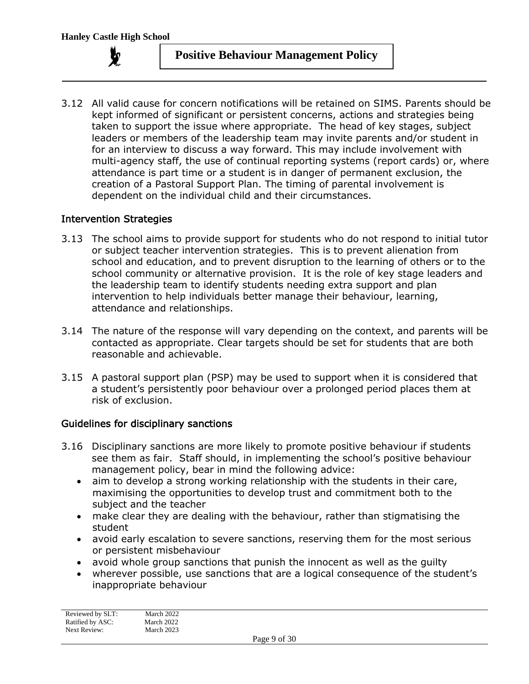

3.12 All valid cause for concern notifications will be retained on SIMS. Parents should be kept informed of significant or persistent concerns, actions and strategies being taken to support the issue where appropriate. The head of key stages, subject leaders or members of the leadership team may invite parents and/or student in for an interview to discuss a way forward. This may include involvement with multi-agency staff, the use of continual reporting systems (report cards) or, where attendance is part time or a student is in danger of permanent exclusion, the creation of a Pastoral Support Plan. The timing of parental involvement is dependent on the individual child and their circumstances.

#### Intervention Strategies

- 3.13 The school aims to provide support for students who do not respond to initial tutor or subject teacher intervention strategies. This is to prevent alienation from school and education, and to prevent disruption to the learning of others or to the school community or alternative provision. It is the role of key stage leaders and the leadership team to identify students needing extra support and plan intervention to help individuals better manage their behaviour, learning, attendance and relationships.
- 3.14 The nature of the response will vary depending on the context, and parents will be contacted as appropriate. Clear targets should be set for students that are both reasonable and achievable.
- 3.15 A pastoral support plan (PSP) may be used to support when it is considered that a student's persistently poor behaviour over a prolonged period places them at risk of exclusion.

#### Guidelines for disciplinary sanctions

- 3.16 Disciplinary sanctions are more likely to promote positive behaviour if students see them as fair. Staff should, in implementing the school's positive behaviour management policy, bear in mind the following advice:
	- aim to develop a strong working relationship with the students in their care, maximising the opportunities to develop trust and commitment both to the subject and the teacher
	- make clear they are dealing with the behaviour, rather than stigmatising the student
	- avoid early escalation to severe sanctions, reserving them for the most serious or persistent misbehaviour
	- avoid whole group sanctions that punish the innocent as well as the guilty
	- wherever possible, use sanctions that are a logical consequence of the student's inappropriate behaviour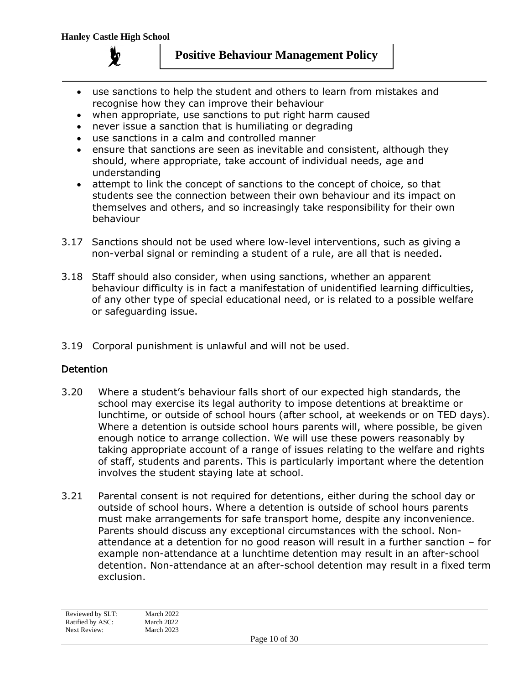

- use sanctions to help the student and others to learn from mistakes and recognise how they can improve their behaviour
- when appropriate, use sanctions to put right harm caused
- never issue a sanction that is humiliating or degrading
- use sanctions in a calm and controlled manner
- ensure that sanctions are seen as inevitable and consistent, although they should, where appropriate, take account of individual needs, age and understanding
- attempt to link the concept of sanctions to the concept of choice, so that students see the connection between their own behaviour and its impact on themselves and others, and so increasingly take responsibility for their own behaviour
- 3.17 Sanctions should not be used where low-level interventions, such as giving a non-verbal signal or reminding a student of a rule, are all that is needed.
- 3.18 Staff should also consider, when using sanctions, whether an apparent behaviour difficulty is in fact a manifestation of unidentified learning difficulties, of any other type of special educational need, or is related to a possible welfare or safeguarding issue.
- 3.19 Corporal punishment is unlawful and will not be used.

#### **Detention**

- 3.20 Where a student's behaviour falls short of our expected high standards, the school may exercise its legal authority to impose detentions at breaktime or lunchtime, or outside of school hours (after school, at weekends or on TED days). Where a detention is outside school hours parents will, where possible, be given enough notice to arrange collection. We will use these powers reasonably by taking appropriate account of a range of issues relating to the welfare and rights of staff, students and parents. This is particularly important where the detention involves the student staying late at school.
- 3.21 Parental consent is not required for detentions, either during the school day or outside of school hours. Where a detention is outside of school hours parents must make arrangements for safe transport home, despite any inconvenience. Parents should discuss any exceptional circumstances with the school. Nonattendance at a detention for no good reason will result in a further sanction – for example non-attendance at a lunchtime detention may result in an after-school detention. Non-attendance at an after-school detention may result in a fixed term exclusion.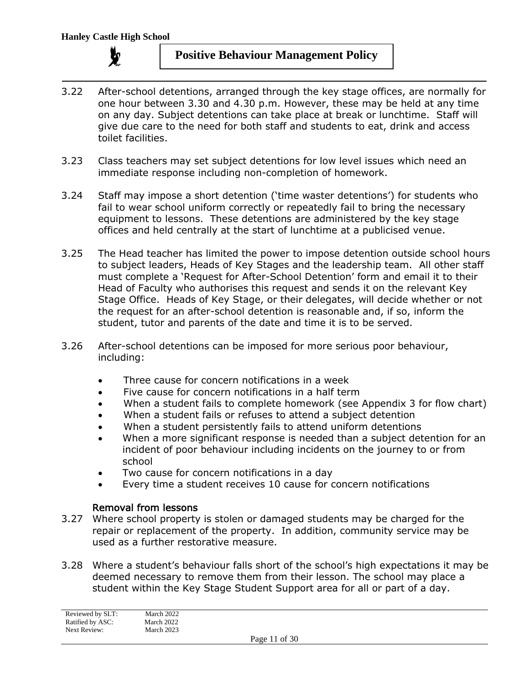

- 3.22 After-school detentions, arranged through the key stage offices, are normally for one hour between 3.30 and 4.30 p.m. However, these may be held at any time on any day. Subject detentions can take place at break or lunchtime. Staff will give due care to the need for both staff and students to eat, drink and access toilet facilities.
- 3.23 Class teachers may set subject detentions for low level issues which need an immediate response including non-completion of homework.
- 3.24 Staff may impose a short detention ('time waster detentions') for students who fail to wear school uniform correctly or repeatedly fail to bring the necessary equipment to lessons. These detentions are administered by the key stage offices and held centrally at the start of lunchtime at a publicised venue.
- 3.25 The Head teacher has limited the power to impose detention outside school hours to subject leaders, Heads of Key Stages and the leadership team. All other staff must complete a 'Request for After-School Detention' form and email it to their Head of Faculty who authorises this request and sends it on the relevant Key Stage Office. Heads of Key Stage, or their delegates, will decide whether or not the request for an after-school detention is reasonable and, if so, inform the student, tutor and parents of the date and time it is to be served.
- 3.26 After-school detentions can be imposed for more serious poor behaviour, including:
	- Three cause for concern notifications in a week
	- Five cause for concern notifications in a half term
	- When a student fails to complete homework (see Appendix 3 for flow chart)
	- When a student fails or refuses to attend a subject detention
	- When a student persistently fails to attend uniform detentions
	- When a more significant response is needed than a subject detention for an incident of poor behaviour including incidents on the journey to or from school
	- Two cause for concern notifications in a day
	- Every time a student receives 10 cause for concern notifications

#### Removal from lessons

- 3.27 Where school property is stolen or damaged students may be charged for the repair or replacement of the property. In addition, community service may be used as a further restorative measure.
- 3.28 Where a student's behaviour falls short of the school's high expectations it may be deemed necessary to remove them from their lesson. The school may place a student within the Key Stage Student Support area for all or part of a day.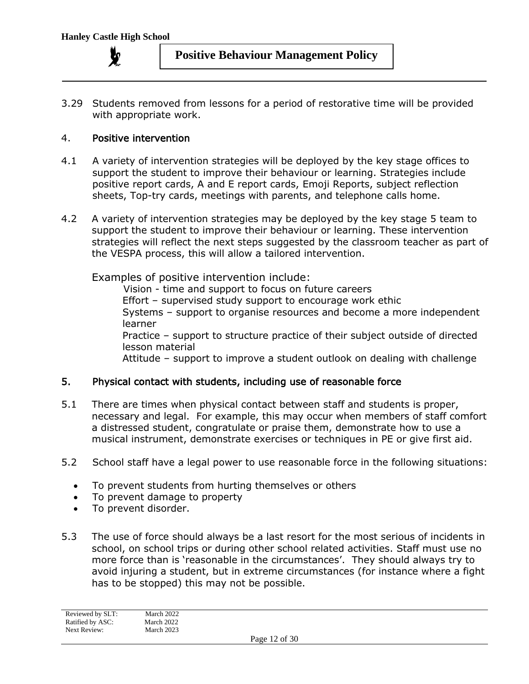

3.29 Students removed from lessons for a period of restorative time will be provided with appropriate work.

#### 4. Positive intervention

- 4.1 A variety of intervention strategies will be deployed by the key stage offices to support the student to improve their behaviour or learning. Strategies include positive report cards, A and E report cards, Emoji Reports, subject reflection sheets, Top-try cards, meetings with parents, and telephone calls home.
- 4.2 A variety of intervention strategies may be deployed by the key stage 5 team to support the student to improve their behaviour or learning. These intervention strategies will reflect the next steps suggested by the classroom teacher as part of the VESPA process, this will allow a tailored intervention.

Examples of positive intervention include:

Vision - time and support to focus on future careers Effort – supervised study support to encourage work ethic Systems – support to organise resources and become a more independent learner Practice – support to structure practice of their subject outside of directed lesson material Attitude – support to improve a student outlook on dealing with challenge

#### 5. Physical contact with students, including use of reasonable force

- 5.1 There are times when physical contact between staff and students is proper, necessary and legal. For example, this may occur when members of staff comfort a distressed student, congratulate or praise them, demonstrate how to use a musical instrument, demonstrate exercises or techniques in PE or give first aid.
- 5.2 School staff have a legal power to use reasonable force in the following situations:
	- To prevent students from hurting themselves or others
	- To prevent damage to property
	- To prevent disorder.
- 5.3 The use of force should always be a last resort for the most serious of incidents in school, on school trips or during other school related activities. Staff must use no more force than is 'reasonable in the circumstances'. They should always try to avoid injuring a student, but in extreme circumstances (for instance where a fight has to be stopped) this may not be possible.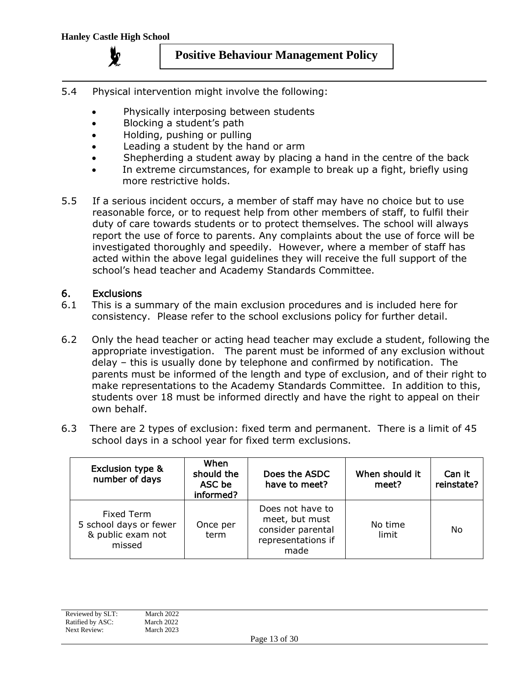

- 5.4 Physical intervention might involve the following:
	- Physically interposing between students
	- Blocking a student's path
	- Holding, pushing or pulling
	- Leading a student by the hand or arm
	- Shepherding a student away by placing a hand in the centre of the back
	- In extreme circumstances, for example to break up a fight, briefly using more restrictive holds.
- 5.5 If a serious incident occurs, a member of staff may have no choice but to use reasonable force, or to request help from other members of staff, to fulfil their duty of care towards students or to protect themselves. The school will always report the use of force to parents. Any complaints about the use of force will be investigated thoroughly and speedily. However, where a member of staff has acted within the above legal guidelines they will receive the full support of the school's head teacher and Academy Standards Committee.

#### 6. Exclusions

- 6.1 This is a summary of the main exclusion procedures and is included here for consistency. Please refer to the school exclusions policy for further detail.
- 6.2 Only the head teacher or acting head teacher may exclude a student, following the appropriate investigation. The parent must be informed of any exclusion without delay – this is usually done by telephone and confirmed by notification. The parents must be informed of the length and type of exclusion, and of their right to make representations to the Academy Standards Committee. In addition to this, students over 18 must be informed directly and have the right to appeal on their own behalf.
- 6.3 There are 2 types of exclusion: fixed term and permanent. There is a limit of 45 school days in a school year for fixed term exclusions.

| <b>Exclusion type &amp;</b><br>number of days                              | When<br>should the<br>ASC be<br>informed? | Does the ASDC<br>have to meet?                                                        | When should it<br>meet? | Can it<br>reinstate? |
|----------------------------------------------------------------------------|-------------------------------------------|---------------------------------------------------------------------------------------|-------------------------|----------------------|
| <b>Fixed Term</b><br>5 school days or fewer<br>& public exam not<br>missed | Once per<br>term                          | Does not have to<br>meet, but must<br>consider parental<br>representations if<br>made | No time<br>limit        | No                   |

| Reviewed by SLT: | March 2022 |                           |  |
|------------------|------------|---------------------------|--|
| Ratified by ASC: | March 2022 |                           |  |
| Next Review:     | March 2023 |                           |  |
|                  |            | P <sub>909</sub> 13 of 30 |  |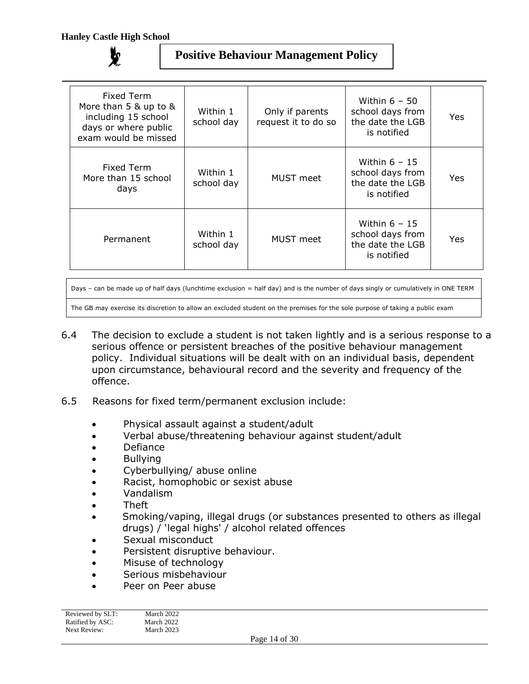| Fixed Term<br>More than 5 & up to &<br>including 15 school<br>days or where public<br>exam would be missed | Within 1<br>school day | Only if parents<br>request it to do so | Within $6 - 50$<br>school days from<br>the date the LGB<br>is notified | Yes |
|------------------------------------------------------------------------------------------------------------|------------------------|----------------------------------------|------------------------------------------------------------------------|-----|
| Fixed Term<br>More than 15 school<br>days                                                                  | Within 1<br>school day | <b>MUST</b> meet                       | Within $6 - 15$<br>school days from<br>the date the LGB<br>is notified | Yes |
| Permanent                                                                                                  | Within 1<br>school day | <b>MUST</b> meet                       | Within $6 - 15$<br>school days from<br>the date the LGB<br>is notified | Yes |

Days – can be made up of half days (lunchtime exclusion = half day) and is the number of days singly or cumulatively in ONE TERM

The GB may exercise its discretion to allow an excluded student on the premises for the sole purpose of taking a public exam

- 6.4 The decision to exclude a student is not taken lightly and is a serious response to a serious offence or persistent breaches of the positive behaviour management policy. Individual situations will be dealt with on an individual basis, dependent upon circumstance, behavioural record and the severity and frequency of the offence.
- 6.5 Reasons for fixed term/permanent exclusion include:
	- Physical assault against a student/adult
	- Verbal abuse/threatening behaviour against student/adult
	- Defiance
	- Bullying
	- Cyberbullying/ abuse online
	- Racist, homophobic or sexist abuse
	- Vandalism
	- Theft
	- Smoking/vaping, illegal drugs (or substances presented to others as illegal drugs) / 'legal highs' / alcohol related offences
	- Sexual misconduct
	- Persistent disruptive behaviour.
	- Misuse of technology
	- Serious misbehaviour
	- Peer on Peer abuse

| Reviewed by SLT: | March 2022 |
|------------------|------------|
| Ratified by ASC: | March 2022 |
| Next Review:     | March 2023 |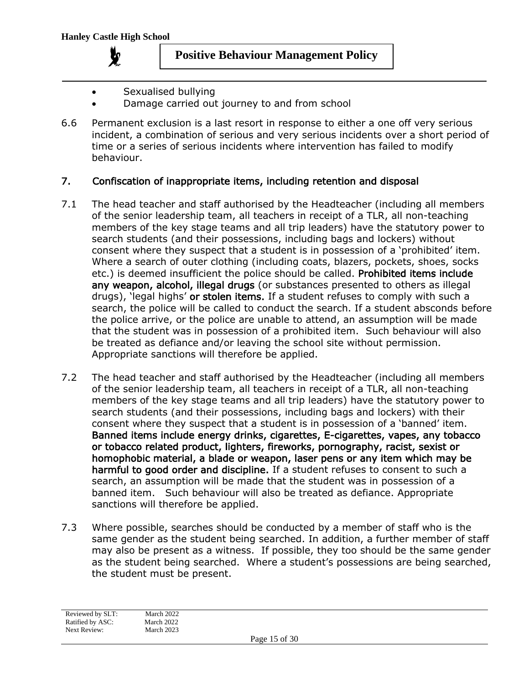

- Sexualised bullying
- Damage carried out journey to and from school
- 6.6 Permanent exclusion is a last resort in response to either a one off very serious incident, a combination of serious and very serious incidents over a short period of time or a series of serious incidents where intervention has failed to modify behaviour.

#### 7. Confiscation of inappropriate items, including retention and disposal

- 7.1 The head teacher and staff authorised by the Headteacher (including all members of the senior leadership team, all teachers in receipt of a TLR, all non-teaching members of the key stage teams and all trip leaders) have the statutory power to search students (and their possessions, including bags and lockers) without consent where they suspect that a student is in possession of a 'prohibited' item. Where a search of outer clothing (including coats, blazers, pockets, shoes, socks etc.) is deemed insufficient the police should be called. Prohibited items include any weapon, alcohol, illegal drugs (or substances presented to others as illegal drugs), 'legal highs' or stolen items. If a student refuses to comply with such a search, the police will be called to conduct the search. If a student absconds before the police arrive, or the police are unable to attend, an assumption will be made that the student was in possession of a prohibited item. Such behaviour will also be treated as defiance and/or leaving the school site without permission. Appropriate sanctions will therefore be applied.
- 7.2 The head teacher and staff authorised by the Headteacher (including all members of the senior leadership team, all teachers in receipt of a TLR, all non-teaching members of the key stage teams and all trip leaders) have the statutory power to search students (and their possessions, including bags and lockers) with their consent where they suspect that a student is in possession of a 'banned' item. Banned items include energy drinks, cigarettes, E-cigarettes, vapes, any tobacco or tobacco related product, lighters, fireworks, pornography, racist, sexist or homophobic material, a blade or weapon, laser pens or any item which may be harmful to good order and discipline. If a student refuses to consent to such a search, an assumption will be made that the student was in possession of a banned item. Such behaviour will also be treated as defiance. Appropriate sanctions will therefore be applied.
- 7.3 Where possible, searches should be conducted by a member of staff who is the same gender as the student being searched. In addition, a further member of staff may also be present as a witness. If possible, they too should be the same gender as the student being searched. Where a student's possessions are being searched, the student must be present.

Reviewed by SLT: March 2022 Ratified by ASC: March 2022 Next Review: March 2023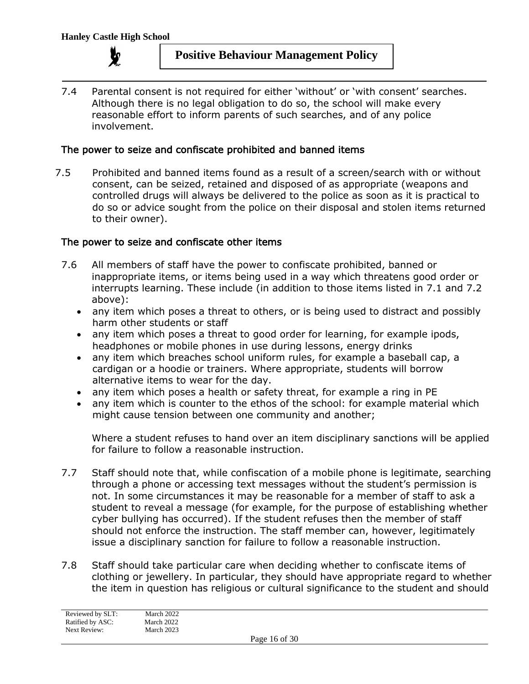

7.4 Parental consent is not required for either 'without' or 'with consent' searches. Although there is no legal obligation to do so, the school will make every reasonable effort to inform parents of such searches, and of any police involvement.

#### The power to seize and confiscate prohibited and banned items

7.5 Prohibited and banned items found as a result of a screen/search with or without consent, can be seized, retained and disposed of as appropriate (weapons and controlled drugs will always be delivered to the police as soon as it is practical to do so or advice sought from the police on their disposal and stolen items returned to their owner).

#### The power to seize and confiscate other items

- 7.6 All members of staff have the power to confiscate prohibited, banned or inappropriate items, or items being used in a way which threatens good order or interrupts learning. These include (in addition to those items listed in 7.1 and 7.2 above):
	- any item which poses a threat to others, or is being used to distract and possibly harm other students or staff
	- any item which poses a threat to good order for learning, for example ipods, headphones or mobile phones in use during lessons, energy drinks
	- any item which breaches school uniform rules, for example a baseball cap, a cardigan or a hoodie or trainers. Where appropriate, students will borrow alternative items to wear for the day.
	- any item which poses a health or safety threat, for example a ring in PE
	- any item which is counter to the ethos of the school: for example material which might cause tension between one community and another;

Where a student refuses to hand over an item disciplinary sanctions will be applied for failure to follow a reasonable instruction.

- 7.7 Staff should note that, while confiscation of a mobile phone is legitimate, searching through a phone or accessing text messages without the student's permission is not. In some circumstances it may be reasonable for a member of staff to ask a student to reveal a message (for example, for the purpose of establishing whether cyber bullying has occurred). If the student refuses then the member of staff should not enforce the instruction. The staff member can, however, legitimately issue a disciplinary sanction for failure to follow a reasonable instruction.
- 7.8 Staff should take particular care when deciding whether to confiscate items of clothing or jewellery. In particular, they should have appropriate regard to whether the item in question has religious or cultural significance to the student and should

| Reviewed by SLT: | March 2022 |
|------------------|------------|
| Ratified by ASC: | March 2022 |
| Next Review:     | March 2023 |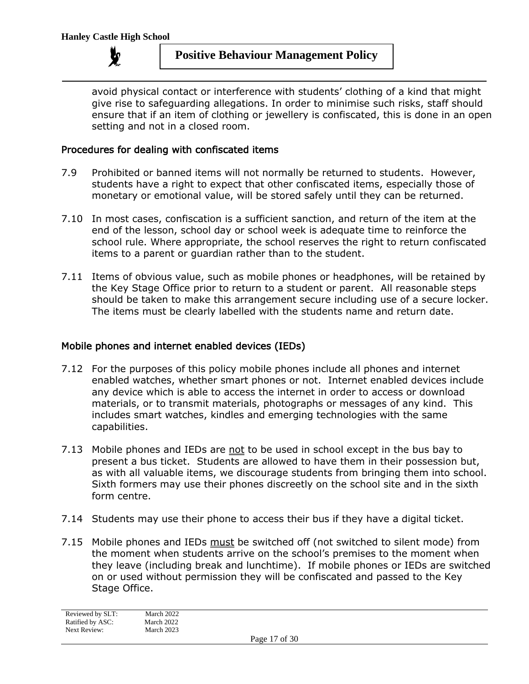

avoid physical contact or interference with students' clothing of a kind that might give rise to safeguarding allegations. In order to minimise such risks, staff should ensure that if an item of clothing or jewellery is confiscated, this is done in an open setting and not in a closed room.

#### Procedures for dealing with confiscated items

- 7.9 Prohibited or banned items will not normally be returned to students. However, students have a right to expect that other confiscated items, especially those of monetary or emotional value, will be stored safely until they can be returned.
- 7.10 In most cases, confiscation is a sufficient sanction, and return of the item at the end of the lesson, school day or school week is adequate time to reinforce the school rule. Where appropriate, the school reserves the right to return confiscated items to a parent or guardian rather than to the student.
- 7.11 Items of obvious value, such as mobile phones or headphones, will be retained by the Key Stage Office prior to return to a student or parent. All reasonable steps should be taken to make this arrangement secure including use of a secure locker. The items must be clearly labelled with the students name and return date.

#### Mobile phones and internet enabled devices (IEDs)

- 7.12 For the purposes of this policy mobile phones include all phones and internet enabled watches, whether smart phones or not. Internet enabled devices include any device which is able to access the internet in order to access or download materials, or to transmit materials, photographs or messages of any kind. This includes smart watches, kindles and emerging technologies with the same capabilities.
- 7.13 Mobile phones and IEDs are not to be used in school except in the bus bay to present a bus ticket. Students are allowed to have them in their possession but, as with all valuable items, we discourage students from bringing them into school. Sixth formers may use their phones discreetly on the school site and in the sixth form centre.
- 7.14 Students may use their phone to access their bus if they have a digital ticket.
- 7.15 Mobile phones and IEDs must be switched off (not switched to silent mode) from the moment when students arrive on the school's premises to the moment when they leave (including break and lunchtime). If mobile phones or IEDs are switched on or used without permission they will be confiscated and passed to the Key Stage Office.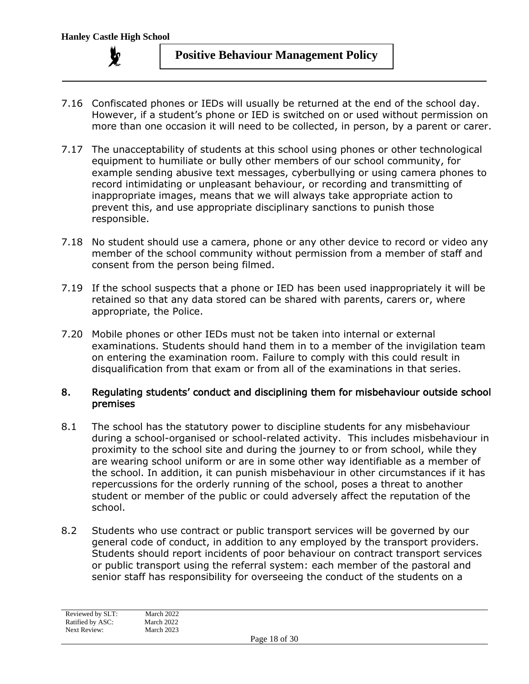

- 7.16 Confiscated phones or IEDs will usually be returned at the end of the school day. However, if a student's phone or IED is switched on or used without permission on more than one occasion it will need to be collected, in person, by a parent or carer.
- 7.17 The unacceptability of students at this school using phones or other technological equipment to humiliate or bully other members of our school community, for example sending abusive text messages, cyberbullying or using camera phones to record intimidating or unpleasant behaviour, or recording and transmitting of inappropriate images, means that we will always take appropriate action to prevent this, and use appropriate disciplinary sanctions to punish those responsible.
- 7.18 No student should use a camera, phone or any other device to record or video any member of the school community without permission from a member of staff and consent from the person being filmed.
- 7.19 If the school suspects that a phone or IED has been used inappropriately it will be retained so that any data stored can be shared with parents, carers or, where appropriate, the Police.
- 7.20 Mobile phones or other IEDs must not be taken into internal or external examinations. Students should hand them in to a member of the invigilation team on entering the examination room. Failure to comply with this could result in disqualification from that exam or from all of the examinations in that series.

#### 8. Regulating students' conduct and disciplining them for misbehaviour outside school premises

- 8.1 The school has the statutory power to discipline students for any misbehaviour during a school-organised or school-related activity. This includes misbehaviour in proximity to the school site and during the journey to or from school, while they are wearing school uniform or are in some other way identifiable as a member of the school. In addition, it can punish misbehaviour in other circumstances if it has repercussions for the orderly running of the school, poses a threat to another student or member of the public or could adversely affect the reputation of the school.
- 8.2 Students who use contract or public transport services will be governed by our general code of conduct, in addition to any employed by the transport providers. Students should report incidents of poor behaviour on contract transport services or public transport using the referral system: each member of the pastoral and senior staff has responsibility for overseeing the conduct of the students on a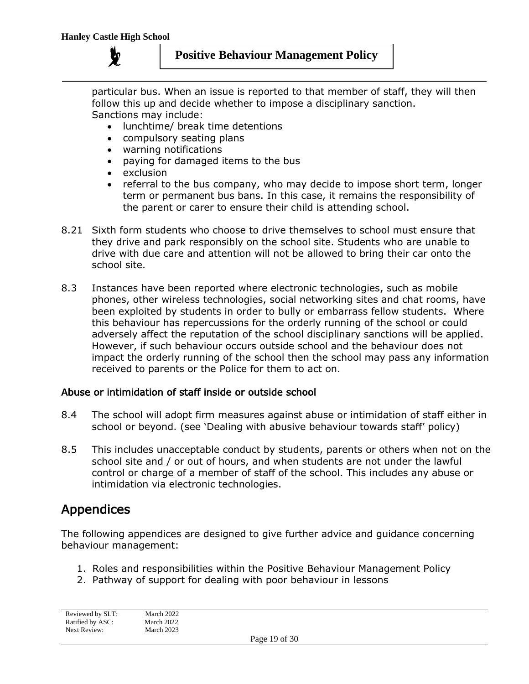particular bus. When an issue is reported to that member of staff, they will then follow this up and decide whether to impose a disciplinary sanction. Sanctions may include:

- lunchtime/ break time detentions
- compulsory seating plans
- warning notifications
- paying for damaged items to the bus
- exclusion
- referral to the bus company, who may decide to impose short term, longer term or permanent bus bans. In this case, it remains the responsibility of the parent or carer to ensure their child is attending school.
- 8.21 Sixth form students who choose to drive themselves to school must ensure that they drive and park responsibly on the school site. Students who are unable to drive with due care and attention will not be allowed to bring their car onto the school site.
- 8.3 Instances have been reported where electronic technologies, such as mobile phones, other wireless technologies, social networking sites and chat rooms, have been exploited by students in order to bully or embarrass fellow students. Where this behaviour has repercussions for the orderly running of the school or could adversely affect the reputation of the school disciplinary sanctions will be applied. However, if such behaviour occurs outside school and the behaviour does not impact the orderly running of the school then the school may pass any information received to parents or the Police for them to act on.

#### Abuse or intimidation of staff inside or outside school

- 8.4 The school will adopt firm measures against abuse or intimidation of staff either in school or beyond. (see 'Dealing with abusive behaviour towards staff' policy)
- 8.5 This includes unacceptable conduct by students, parents or others when not on the school site and / or out of hours, and when students are not under the lawful control or charge of a member of staff of the school. This includes any abuse or intimidation via electronic technologies.

# Appendices

The following appendices are designed to give further advice and guidance concerning behaviour management:

- 1. Roles and responsibilities within the Positive Behaviour Management Policy
- 2. Pathway of support for dealing with poor behaviour in lessons

| Reviewed by SLT: | March 2022 |
|------------------|------------|
| Ratified by ASC: | March 2022 |
| Next Review:     | March 2023 |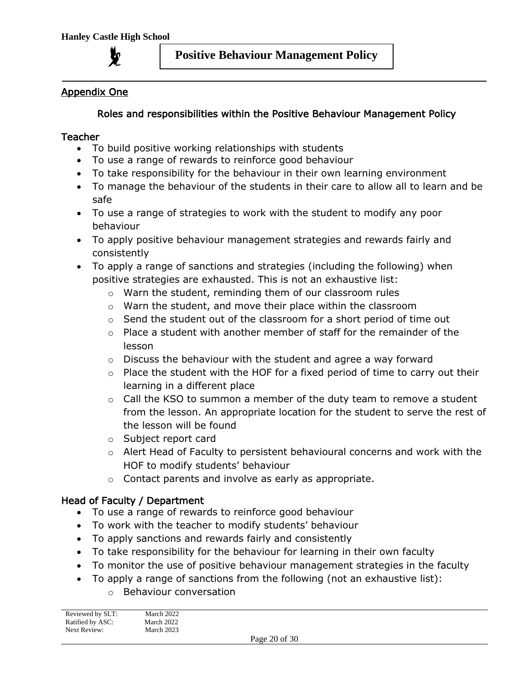

## Appendix One

## Roles and responsibilities within the Positive Behaviour Management Policy

### Teacher

- To build positive working relationships with students
- To use a range of rewards to reinforce good behaviour
- To take responsibility for the behaviour in their own learning environment
- To manage the behaviour of the students in their care to allow all to learn and be safe
- To use a range of strategies to work with the student to modify any poor behaviour
- To apply positive behaviour management strategies and rewards fairly and consistently
- To apply a range of sanctions and strategies (including the following) when positive strategies are exhausted. This is not an exhaustive list:
	- o Warn the student, reminding them of our classroom rules
	- o Warn the student, and move their place within the classroom
	- $\circ$  Send the student out of the classroom for a short period of time out
	- $\circ$  Place a student with another member of staff for the remainder of the lesson
	- $\circ$  Discuss the behaviour with the student and agree a way forward
	- o Place the student with the HOF for a fixed period of time to carry out their learning in a different place
	- o Call the KSO to summon a member of the duty team to remove a student from the lesson. An appropriate location for the student to serve the rest of the lesson will be found
	- o Subject report card
	- $\circ$  Alert Head of Faculty to persistent behavioural concerns and work with the HOF to modify students' behaviour
	- o Contact parents and involve as early as appropriate.

# Head of Faculty / Department

- To use a range of rewards to reinforce good behaviour
- To work with the teacher to modify students' behaviour
- To apply sanctions and rewards fairly and consistently
- To take responsibility for the behaviour for learning in their own faculty
- To monitor the use of positive behaviour management strategies in the faculty
- To apply a range of sanctions from the following (not an exhaustive list):
	- o Behaviour conversation

| Reviewed by SLT:<br>Ratified by ASC: | March 2022<br>March 2022 |        |            |  |
|--------------------------------------|--------------------------|--------|------------|--|
| Next Review:                         | March 2023               |        |            |  |
|                                      |                          | $\sim$ | -- - - - - |  |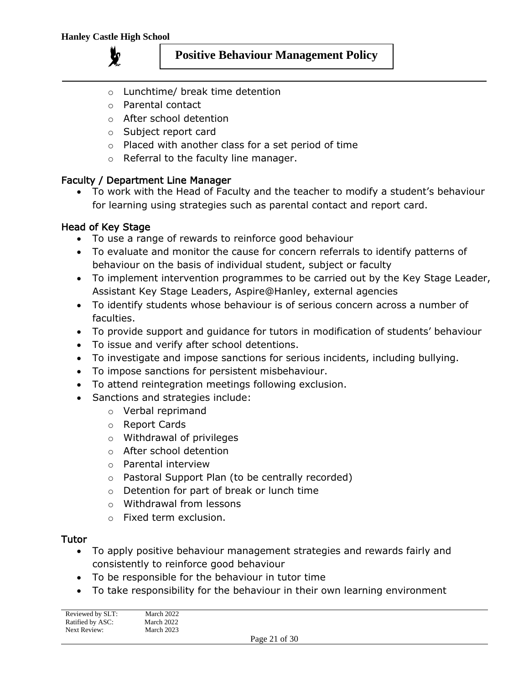**y** 



- o Lunchtime/ break time detention
- o Parental contact
- o After school detention
- o Subject report card
- o Placed with another class for a set period of time
- o Referral to the faculty line manager.

#### Faculty / Department Line Manager

• To work with the Head of Faculty and the teacher to modify a student's behaviour for learning using strategies such as parental contact and report card.

## Head of Key Stage

- To use a range of rewards to reinforce good behaviour
- To evaluate and monitor the cause for concern referrals to identify patterns of behaviour on the basis of individual student, subject or faculty
- To implement intervention programmes to be carried out by the Key Stage Leader, Assistant Key Stage Leaders, Aspire@Hanley, external agencies
- To identify students whose behaviour is of serious concern across a number of faculties.
- To provide support and guidance for tutors in modification of students' behaviour
- To issue and verify after school detentions.
- To investigate and impose sanctions for serious incidents, including bullying.
- To impose sanctions for persistent misbehaviour.
- To attend reintegration meetings following exclusion.
- Sanctions and strategies include:
	- o Verbal reprimand
	- o Report Cards
	- o Withdrawal of privileges
	- o After school detention
	- o Parental interview
	- o Pastoral Support Plan (to be centrally recorded)
	- o Detention for part of break or lunch time
	- o Withdrawal from lessons
	- o Fixed term exclusion.

#### Tutor

- To apply positive behaviour management strategies and rewards fairly and consistently to reinforce good behaviour
- To be responsible for the behaviour in tutor time
- To take responsibility for the behaviour in their own learning environment

| Reviewed by SLT: | March 2022 |                                        |  |
|------------------|------------|----------------------------------------|--|
| Ratified by ASC: | March 2022 |                                        |  |
| Next Review:     | March 2023 |                                        |  |
|                  |            | $\mathbf{D}$ $\mathbf{A}$ $\mathbf{A}$ |  |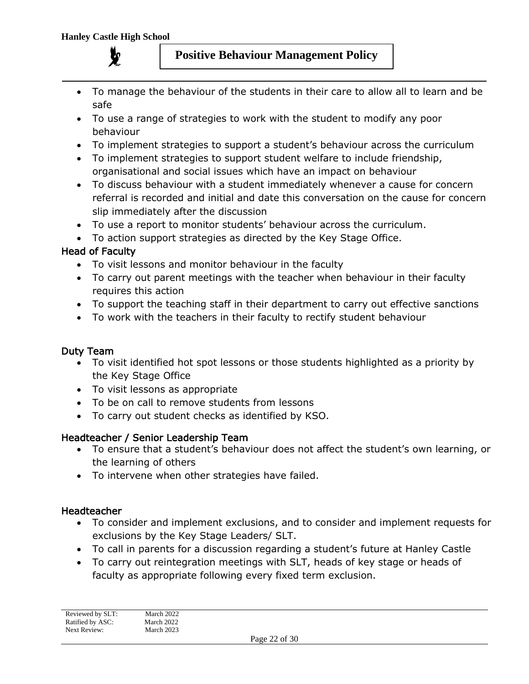

- To manage the behaviour of the students in their care to allow all to learn and be safe
- To use a range of strategies to work with the student to modify any poor behaviour
- To implement strategies to support a student's behaviour across the curriculum
- To implement strategies to support student welfare to include friendship, organisational and social issues which have an impact on behaviour
- To discuss behaviour with a student immediately whenever a cause for concern referral is recorded and initial and date this conversation on the cause for concern slip immediately after the discussion
- To use a report to monitor students' behaviour across the curriculum.
- To action support strategies as directed by the Key Stage Office.

## Head of Faculty

- To visit lessons and monitor behaviour in the faculty
- To carry out parent meetings with the teacher when behaviour in their faculty requires this action
- To support the teaching staff in their department to carry out effective sanctions
- To work with the teachers in their faculty to rectify student behaviour

#### Duty Team

- To visit identified hot spot lessons or those students highlighted as a priority by the Key Stage Office
- To visit lessons as appropriate
- To be on call to remove students from lessons
- To carry out student checks as identified by KSO.

#### Headteacher / Senior Leadership Team

- To ensure that a student's behaviour does not affect the student's own learning, or the learning of others
- To intervene when other strategies have failed.

#### Headteacher

- To consider and implement exclusions, and to consider and implement requests for exclusions by the Key Stage Leaders/ SLT.
- To call in parents for a discussion regarding a student's future at Hanley Castle
- To carry out reintegration meetings with SLT, heads of key stage or heads of faculty as appropriate following every fixed term exclusion.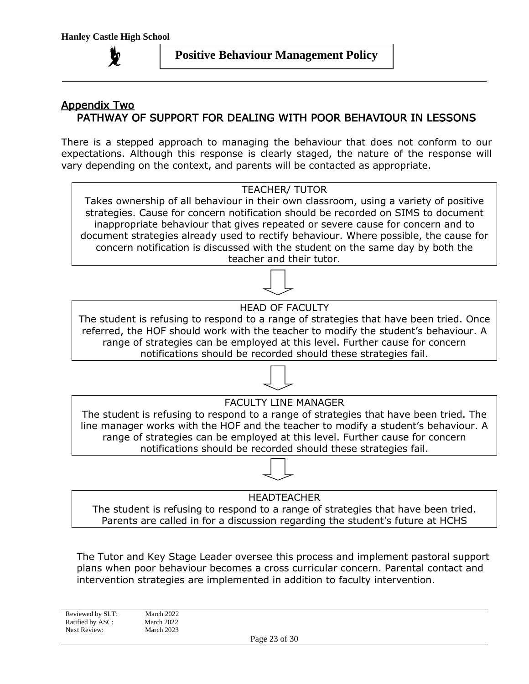# Appendix Two PATHWAY OF SUPPORT FOR DEALING WITH POOR BEHAVIOUR IN LESSONS

There is a stepped approach to managing the behaviour that does not conform to our expectations. Although this response is clearly staged, the nature of the response will vary depending on the context, and parents will be contacted as appropriate.



The student is refusing to respond to a range of strategies that have been tried. Parents are called in for a discussion regarding the student's future at HCHS

The Tutor and Key Stage Leader oversee this process and implement pastoral support plans when poor behaviour becomes a cross curricular concern. Parental contact and intervention strategies are implemented in addition to faculty intervention.

Reviewed by SLT: March 2022 Ratified by ASC: March 2022<br>Next Review: March 2023

March 2023

Page 23 of 30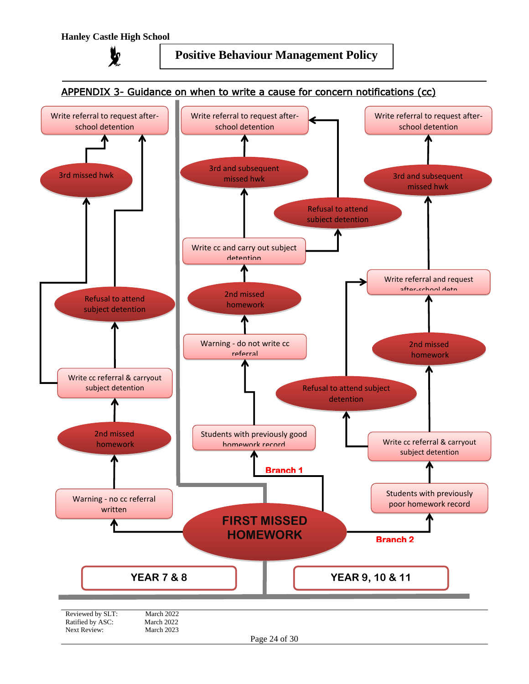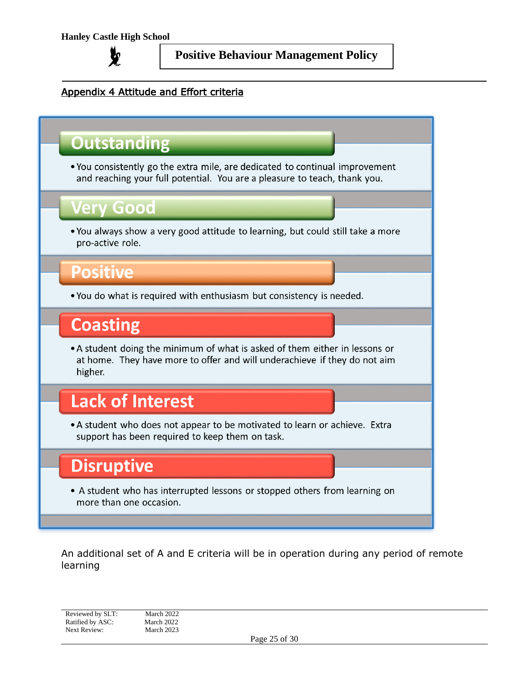

# Appendix 4 Attitude and Effort criteria

# **Outstanding**

. You consistently go the extra mile, are dedicated to continual improvement and reaching your full potential. You are a pleasure to teach, thank you.

# **/erv Good**

. You always show a very good attitude to learning, but could still take a more pro-active role.

# Positive

. You do what is required with enthusiasm but consistency is needed.

# **Coasting**

• A student doing the minimum of what is asked of them either in lessons or at home. They have more to offer and will underachieve if they do not aim higher.

# **Lack of Interest**

• A student who does not appear to be motivated to learn or achieve. Extra support has been required to keep them on task.

# **Disruptive**

• A student who has interrupted lessons or stopped others from learning on more than one occasion.

An additional set of A and E criteria will be in operation during any period of remote learning

Reviewed by SLT: March 2022 Ratified by ASC: March 2022<br>Next Review: March 2023 Next Review: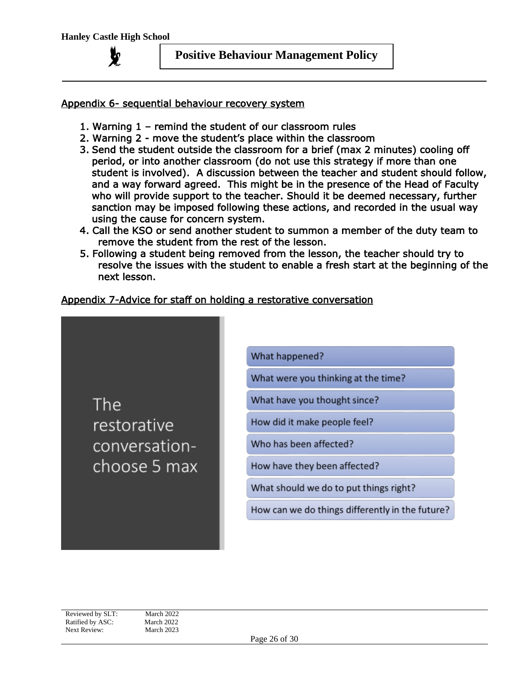**y** 

#### Appendix 6- sequential behaviour recovery system

- 1. Warning 1 remind the student of our classroom rules
- 2. Warning 2 move the student's place within the classroom
- 3. Send the student outside the classroom for a brief (max 2 minutes) cooling off period, or into another classroom (do not use this strategy if more than one student is involved). A discussion between the teacher and student should follow, and a way forward agreed. This might be in the presence of the Head of Faculty who will provide support to the teacher. Should it be deemed necessary, further sanction may be imposed following these actions, and recorded in the usual way using the cause for concern system.
- 4. Call the KSO or send another student to summon a member of the duty team to remove the student from the rest of the lesson.
- 5. Following a student being removed from the lesson, the teacher should try to resolve the issues with the student to enable a fresh start at the beginning of the next lesson.

#### Appendix 7-Advice for staff on holding a restorative conversation

The restorative conversationchoose 5 max What happened?

What were you thinking at the time?

What have you thought since?

How did it make people feel?

Who has been affected?

How have they been affected?

What should we do to put things right?

How can we do things differently in the future?

Reviewed by SLT: March 2022 Ratified by ASC: March 2022 Next Review: March 2023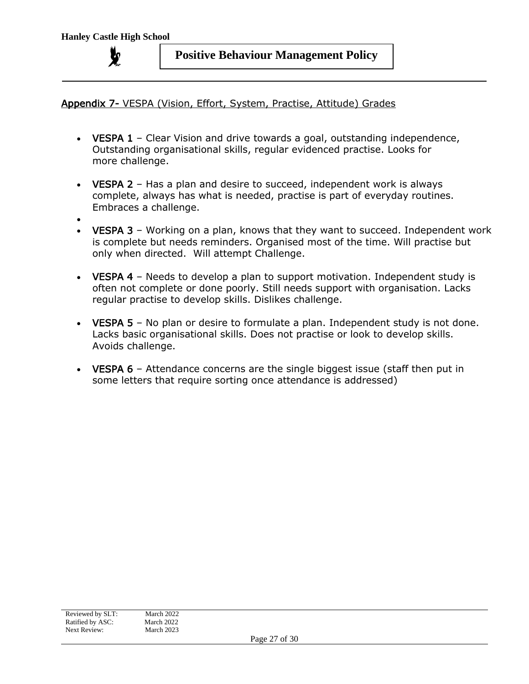Appendix 7- VESPA (Vision, Effort, System, Practise, Attitude) Grades

- VESPA 1 Clear Vision and drive towards a goal, outstanding independence, Outstanding organisational skills, regular evidenced practise. Looks for more challenge.
- **VESPA 2** Has a plan and desire to succeed, independent work is always complete, always has what is needed, practise is part of everyday routines. Embraces a challenge.
- •
- VESPA 3 Working on a plan, knows that they want to succeed. Independent work is complete but needs reminders. Organised most of the time. Will practise but only when directed. Will attempt Challenge.
- VESPA 4 Needs to develop a plan to support motivation. Independent study is often not complete or done poorly. Still needs support with organisation. Lacks regular practise to develop skills. Dislikes challenge.
- **VESPA 5** No plan or desire to formulate a plan. Independent study is not done. Lacks basic organisational skills. Does not practise or look to develop skills. Avoids challenge.
- VESPA 6 Attendance concerns are the single biggest issue (staff then put in some letters that require sorting once attendance is addressed)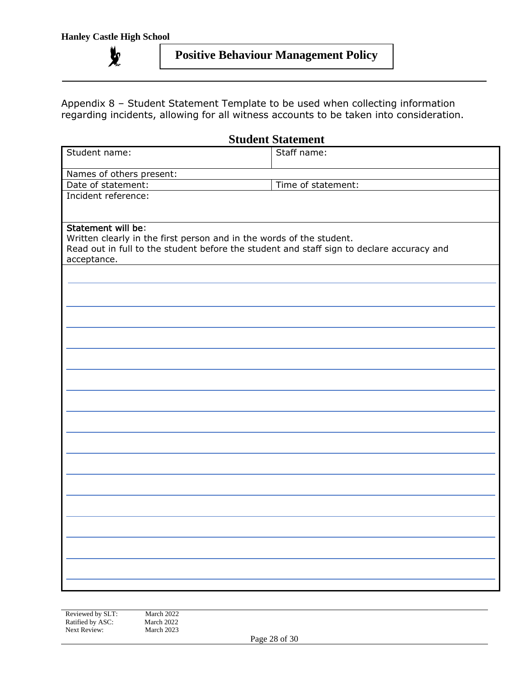$\chi$ 

# **Positive Behaviour Management Policy**

Appendix 8 – Student Statement Template to be used when collecting information regarding incidents, allowing for all witness accounts to be taken into consideration.

| <b>Student Statement</b>                                                                  |                    |  |  |
|-------------------------------------------------------------------------------------------|--------------------|--|--|
| Student name:                                                                             | Staff name:        |  |  |
|                                                                                           |                    |  |  |
| Names of others present:                                                                  |                    |  |  |
| Date of statement:                                                                        | Time of statement: |  |  |
| Incident reference:                                                                       |                    |  |  |
| Statement will be:                                                                        |                    |  |  |
| Written clearly in the first person and in the words of the student.                      |                    |  |  |
| Read out in full to the student before the student and staff sign to declare accuracy and |                    |  |  |
| acceptance.                                                                               |                    |  |  |
|                                                                                           |                    |  |  |
|                                                                                           |                    |  |  |
|                                                                                           |                    |  |  |
|                                                                                           |                    |  |  |
|                                                                                           |                    |  |  |
|                                                                                           |                    |  |  |
|                                                                                           |                    |  |  |
|                                                                                           |                    |  |  |
|                                                                                           |                    |  |  |
|                                                                                           |                    |  |  |
|                                                                                           |                    |  |  |
|                                                                                           |                    |  |  |
|                                                                                           |                    |  |  |
|                                                                                           |                    |  |  |
|                                                                                           |                    |  |  |
|                                                                                           |                    |  |  |
|                                                                                           |                    |  |  |
|                                                                                           |                    |  |  |
|                                                                                           |                    |  |  |
|                                                                                           |                    |  |  |
|                                                                                           |                    |  |  |
|                                                                                           |                    |  |  |
|                                                                                           |                    |  |  |
|                                                                                           |                    |  |  |
|                                                                                           |                    |  |  |
|                                                                                           |                    |  |  |
|                                                                                           |                    |  |  |
|                                                                                           |                    |  |  |
|                                                                                           |                    |  |  |
|                                                                                           |                    |  |  |

Reviewed by SLT: March 2022<br>Ratified by ASC: March 2022 Ratified by ASC: March 2022<br>Next Review: March 2023 Next Review:

Page 28 of 30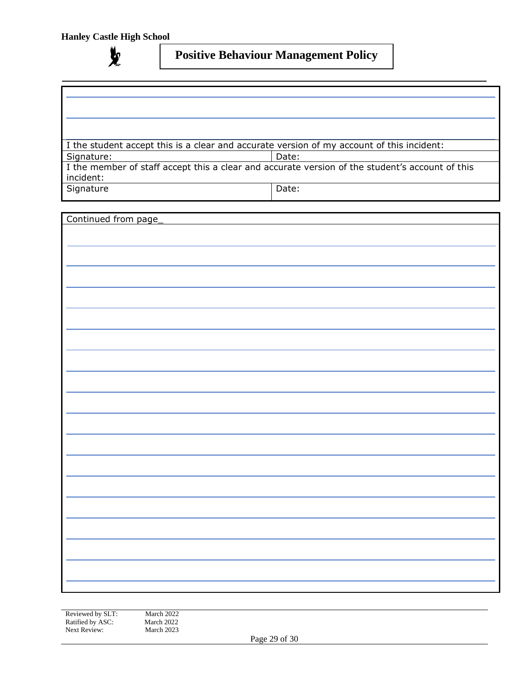**y** 

# **Positive Behaviour Management Policy**

I the student accept this is a clear and accurate version of my account of this incident:

Signature: and Date:

I the member of staff accept this a clear and accurate version of the student's account of this incident: Signature and Date:

Continued from page\_

Reviewed by SLT: March 2022<br>Ratified by ASC: March 2022 Ratified by ASC: March 2022<br>Next Review: March 2023 Next Review:

Page 29 of 30